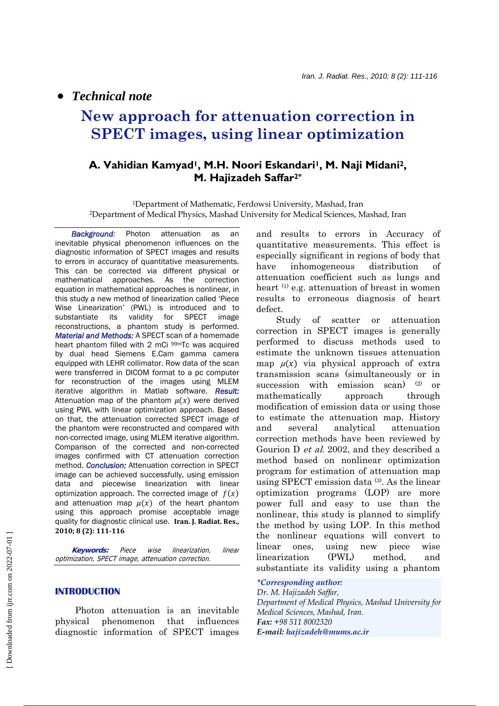• *Technical note*

# **New approach for attenuation correction in SPECT images, using linear optimization**

## **A. Vahidian Kamyad1, M.H. Noori Eskandari1, M. Naji Midani2, M. Hajizadeh Saffar2\***

1Department of Mathematic, Ferdowsi University, Mashad, Iran 2Department of Medical Physics, Mashad University for Medical Sciences, Mashad, Iran

 *Background:* Photon attenuation as an inevitable physical phenomenon influences on the diagnostic information of SPECT images and results to errors in accuracy of quantitative measurements. This can be corrected via different physical or mathematical approaches. As the correction equation in mathematical approaches is nonlinear, in this study a new method of linearization called 'Piece Wise Linearization' (PWL) is introduced and to substantiate its validity for SPECT image reconstructions, a phantom study is performed. *Material and Methods:* A SPECT scan of a homemade heart phantom filled with 2 mCi 99mTc was acquired by dual head Siemens E.Cam gamma camera equipped with LEHR collimator. Row data of the scan were transferred in DICOM format to a pc computer for reconstruction of the images using MLEM iterative algorithm in Matlab software. *Result:* Attenuation map of the phantom  $\mu(x)$  were derived using PWL with linear optimization approach. Based on that, the attenuation corrected SPECT image of the phantom were reconstructed and compared with non-corrected image, using MLEM iterative algorithm. Comparison of the corrected and non-corrected images confirmed with CT attenuation correction method. *Conclusion:* Attenuation correction in SPECT image can be achieved successfully, using emission data and piecewise linearization with linear optimization approach. The corrected image of  $f(x)$ and attenuation map  $\mu(x)$  of the heart phantom using this approach promise acceptable image quality for diagnostic clinical use. **Iran. J. Radiat. Res., 2010; 8 (2): 111116**

 **Keywords:** Piece wise linearization, linear optimization, SPECT image, attenuation correction.

#### **INTRODUCTION**

 Photon attenuation is an inevitable physical phenomenon that influences diagnostic information of SPECT images and results to errors in Accuracy of quantitative measurements. This effect is especially significant in regions of body that have inhomogeneous distribution of attenuation coefficient such as lungs and heart (1) e.g. attenuation of breast in women results to erroneous diagnosis of heart defect.

 Study of scatter or attenuation correction in SPECT images is generally performed to discuss methods used to estimate the unknown tissues attenuation map  $\mu(x)$  via physical approach of extra transmission scans (simultaneously or in succession with emission scan) (2) or mathematically approach through modification of emission data or using those to estimate the attenuation map. History and several analytical attenuation correction methods have been reviewed by Gourion D et al. 2002, and they described a method based on nonlinear optimization program for estimation of attenuation map using SPECT emission data (3). As the linear optimization programs (LOP) are more power full and easy to use than the nonlinear, this study is planned to simplify the method by using LOP. In this method the nonlinear equations will convert to linear ones, using new piece wise linearization (PWL) method, and substantiate its validity using a phantom

#### *\*Corresponding author:*

*Dr. M. Hajizadeh Saffar, Department of Medical Physics, Mashad University for Medical Sciences, Mashad, Iran. Fax: +98 511 8002320 E-mail: hajizadeh@mums.ac.ir*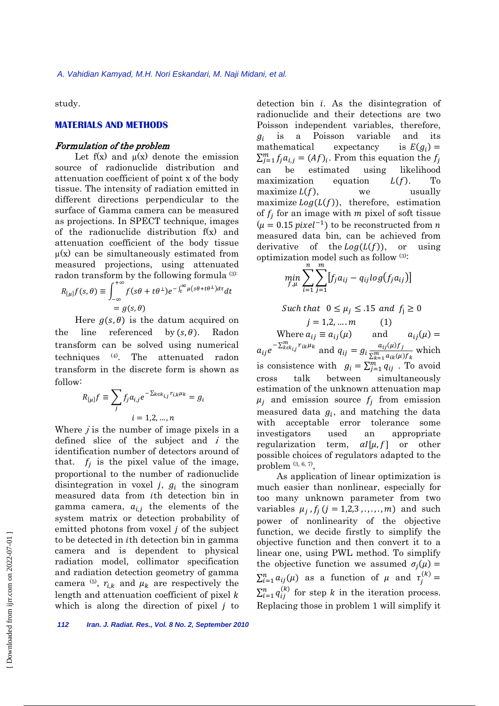study.

## **MATERIALS AND METHODS**

#### Formulation of the problem

Let  $f(x)$  and  $\mu(x)$  denote the emission source of radionuclide distribution and attenuation coefficient of point x of the body tissue. The intensity of radiation emitted in different directions perpendicular to the surface of Gamma camera can be measured as projections. In SPECT technique, images of the radionuclide distribution f(x) and attenuation coefficient of the body tissue  $\mu(x)$  can be simultaneously estimated from measured projections, using attenuated radon transform by the following formula (3):

$$
R_{[\mu]}f(s,\theta) \equiv \int_{-\infty}^{+\infty} f(s\theta + t\theta^{\perp})e^{-\int_{t}^{\infty} \mu(s\theta + t\theta^{\perp})d\tau}dt
$$
  
= g(s,\theta)

Here  $g(s, \theta)$  is the datum acquired on the line referenced by  $(s, \theta)$ . Radon transform can be solved using numerical techniques (4). The attenuated radon transform in the discrete form is shown as follow:

$$
R_{[\mu]}f \equiv \sum_j f_j a_{i,j} e^{-\sum_{k \in k_{i,j}} r_{i,k} \mu_k} = g_i
$$
  

$$
i = 1, 2, ..., n
$$

Where  $j$  is the number of image pixels in a defined slice of the subject and  $i$  the identification number of detectors around of that.  $f_i$  is the pixel value of the image, proportional to the number of radionuclide disintegration in voxel  $j$ ,  $g_i$  the sinogram measured data from *i*th detection bin in gamma camera,  $a_{i,j}$  the elements of the system matrix or detection probability of emitted photons from voxel  $j$  of the subject to be detected in *i*th detection bin in gamma camera and is dependent to physical radiation model, collimator specification and radiation detection geometry of gamma camera <sup>(5)</sup>,  $r_{i,k}$  and  $\mu_k$  are respectively the length and attenuation coefficient of pixel  $k$ which is along the direction of pixel  $j$  to

detection bin  $i$ . As the disintegration of radionuclide and their detections are two Poisson independent variables, therefore,  $g_i$  is a Poisson variable and its mathematical expectancy is  $E(g_i)$  =  $\sum_{j=1}^{m} f_j a_{i,j} = (Af)_i$ . From this equation the  $f_j$ can be estimated using likelihood maximization equation  $L(f)$ . To maximize  $L(f)$ , we usually maximize  $Log(L(f))$ , therefore, estimation of  $f_i$  for an image with m pixel of soft tissue  $(\mu = 0.15 \text{ pixel}^{-1})$  to be reconstructed from *n* measured data bin, can be achieved from derivative of the  $Log(L(f))$ , or using optimization model such as follow (3):

$$
\min_{f,\mu} \sum_{i=1}^n \sum_{j=1}^m [f_j a_{ij} - q_{ij} log(f_j a_{ij})]
$$

Such that  $0 \leq \mu_j \leq .15$  and  $f_j \geq 0$ 

 $j = 1, 2, ..., m$  (1) Where  $a_{ij} \equiv a_{ij}(\mu)$  and  $a_{ij}(\mu) =$  $a_{ij}e^{-\sum_{k \in k_{ij}}^m r_{ik}\mu_k}$  and  $q_{ij} = g_i \frac{a_{ij}(\mu) f_j}{\sum_{k \in k_{ij}}^m a_{ik}(\mu)}$  $\frac{a_{ij}(\mu)J}{\sum_{k=1}^m a_{ik}(\mu)f_k}$  which is consistence with  $g_i = \sum_{j=1}^m q_{ij}$ . To avoid cross talk between simultaneously estimation of the unknown attenuation map  $\mu_i$  and emission source  $f_i$  from emission measured data  $g_i$ , and matching the data with acceptable error tolerance some investigators used an appropriate regularization term,  $\alpha I[\mu, f]$  or other possible choices of regulators adapted to the problem  $(3, 6, 7)$ ,

 As application of linear optimization is much easier than nonlinear, especially for too many unknown parameter from two variables  $\mu_i$ ,  $f_i$  ( $j = 1,2,3, \ldots, m$ ) and such power of nonlinearity of the objective function, we decide firstly to simplify the objective function and then convert it to a linear one, using PWL method. To simplify the objective function we assumed  $\sigma_i(\mu)$  =  $\sum_{i=1}^{n} a_{ij}(\mu)$  as a function of  $\mu$  and  $\tau_j^{(k)} =$  $\sum_{i=1}^{n} q_{ij}^{(k)}$  for step k in the iteration process. Replacing those in problem 1 will simplify it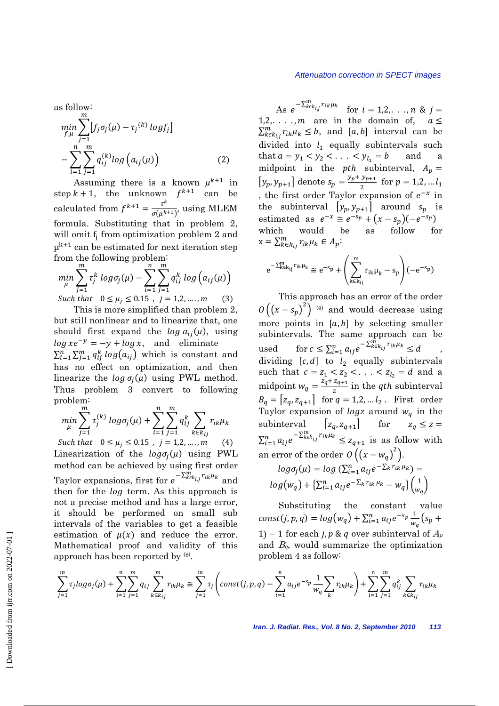as follow:  
\n
$$
\min_{f,\mu} \sum_{j=1}^{m} [f_j \sigma_j(\mu) - \tau_j^{(k)} \log f_j]
$$
\n
$$
- \sum_{i=1}^{n} \sum_{j=1}^{m} q_{ij}^{(k)} \log (a_{ij}(\mu))
$$
\n(2)

Assuming there is a known  $\mu^{k+1}$  in step  $k + 1$ , the unknown  $f^{k+1}$  can be calculated from  $f^{k+1} = \frac{\tau^k}{\sigma(\mu^{k+1})}$ , using MLEM formula. Substituting that in problem 2, will omit f<sub>i</sub> from optimization problem 2 and  $\mu^{k+1}$  can be estimated for next iteration step from the following problem:

$$
\min_{\mu} \sum_{j=1}^{m} \tau_j^k \log \sigma_j(\mu) - \sum_{i=1}^{n} \sum_{j=1}^{m} q_{ij}^k \log (a_{ij}(\mu))
$$
  
Such that  $0 \le \mu_j \le 0.15$ ,  $j = 1, 2, ..., m$  (3)

This is more simplified than problem 2, but still nonlinear and to linearize that, one should first expand the  $\log a_{ij}(\mu)$ , using  $\log xe^{-y} = -y + \log x$ , and eliminate  $\sum_{i=1}^n \sum_{j=1}^m q_{ij}^k log(a_{ij})$  which is constant and has no effect on optimization, and then linearize the  $\log \sigma_i(\mu)$  using PWL method. Thus problem 3 convert to following problem:

$$
\min_{\mu} \sum_{j=1}^{m} \tau_j^{(k)} \log \sigma_j(\mu) + \sum_{i=1}^{n} \sum_{j=1}^{m} q_{ij}^k \sum_{k \in k_{ij}} r_{ik} \mu_k
$$

Such that  $0 \le \mu_j \le 0.15$ ,  $j = 1, 2, ..., m$  $(4)$ Linearization of the  $log \sigma_i(\mu)$  using PWL method can be achieved by using first order Taylor expansions, first for  $e^{-\sum_{k \in k_{ij}}^{\bar{m}} r_{ik} \mu_k}$  and then for the *log* term. As this approach is not a precise method and has a large error, it should be performed on small sub intervals of the variables to get a feasible estimation of  $\mu(x)$  and reduce the error. Mathematical proof and validity of this approach has been reported by (8).

#### Attenuation correction in SPECT images

As  $e^{-\sum_{k \in k_{ij}}^m r_{ik}\mu_k}$  for  $i = 1, 2, ..., n$  &  $j =$  $1, 2, \ldots, m$  are in the domain of,  $a \leq$  $\sum_{k \in k_{ij}}^m r_{ik} \mu_k \leq b$ , and [a, b] interval can be divided into  $l_1$  equally subintervals such that  $a = y_1 < y_2 < \ldots < y_{l_1} = b$ and a midpoint in the *pth* subinterval,  $A_p =$  $[y_p, y_{p+1}]$  denote  $s_p = \frac{y_p + y_{p+1}}{2}$  for  $p = 1, 2, ... l_1$ , the first order Taylor expansion of  $e^{-x}$  in the subinterval  $[y_p, y_{p+1}]$  around  $s_p$  is estimated as  $e^{-x} \cong e^{-s_p} + (x - s_p)(-e^{-s_p})$ as follow would which be for  $x = \sum_{k \in k_{ij}}^m r_{ik} \mu_k \in A_p$ :

$$
e^{-\sum_{k\in k_{ij}}^{m}r_{ik}\mu_k}\cong e^{-s_p}+\left(\sum_{k\in k_{ij}}^{m}r_{ik}\mu_k-s_p\right)(-e^{-s_p})
$$

This approach has an error of the order  $O((x-s_p)^2)$  (9) and would decrease using more points in  $[a, b]$  by selecting smaller subintervals. The same approach can be for  $c \leq \sum_{i=1}^n a_{ij} e^{-\sum_{k=k_{ij}}^{\overline{n}} r_{ik} \mu_k} \leq d$ used dividing  $[c, d]$  to  $l_2$  equally subintervals such that  $c = z_1 < z_2 < ... < z_{l_2} = d$  and a midpoint  $w_q = \frac{z_q + z_{q+1}}{2}$  in the *qth* subinterval<br>  $B_q = [z_q, z_{q+1}]$  for  $q = 1, 2, ... l_2$ . First order Taylor expansion of *logz* around  $w_q$  in the subinterval  $[z_q, z_{q+1}]$  for  $z_q \leq z =$  $\sum_{i=1}^{n} a_{ij} e^{-\sum_{k \in k_{ij}}^{m} r_{ik} \mu_k} \leq z_{q+1}$  is as follow with an error of the order  $O((x-w_q)^2)$ .

$$
log\sigma_j(\mu) = log(\sum_{i=1}^n a_{ij}e^{-\sum k \cdot r_{ik}\mu_k}) =
$$
  

$$
log(w_q) + {\sum_{i=1}^n a_{ij}e^{-\sum k \cdot r_{ik}\mu_k} - w_q}(\frac{1}{w_q})
$$

Substituting the constant value const(j, p, q) =  $log(w_q) + \sum_{i=1}^{n} a_{ij} e^{-s_p} \frac{1}{w_q} (s_p +$ 1) – 1 for each j, p & q over subinterval of  $A_p$ and  $B_q$ , would summarize the optimization problem 4 as follow:

$$
\sum_{j=1}^{m} \tau_{j} log \sigma_{j}(\mu) + \sum_{i=1}^{n} \sum_{j=1}^{m} q_{ij} \sum_{k \in k_{ij}}^{m} r_{ik} \mu_{k} \cong \sum_{j=1}^{m} \tau_{j} \left( const(j, p, q) - \sum_{i=1}^{n} a_{ij} e^{-s_{p}} \frac{1}{w_{q}} \sum_{k}^{m} r_{ik} \mu_{k} \right) + \sum_{i=1}^{n} \sum_{j=1}^{m} q_{ij}^{k} \sum_{k \in k_{ij}} r_{ik} \mu_{k}
$$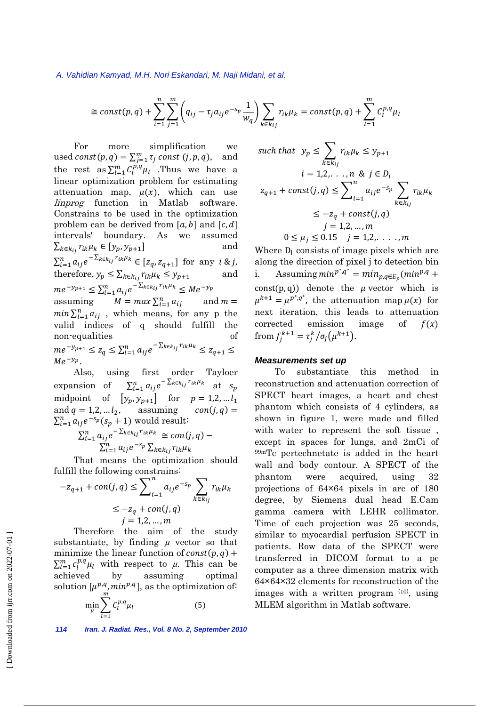#### *A. Vahidian Kamyad, M.H. Nori Eskandari, M. Naji Midani, et al.*

$$
\cong const(p,q) + \sum_{i=1}^{n} \sum_{j=1}^{m} \left( q_{ij} - \tau_j a_{ij} e^{-s_p} \frac{1}{w_q} \right) \sum_{k \in k_{ij}} r_{ik} \mu_k = const(p,q) + \sum_{l=1}^{m} C_l^{p,q} \mu_l
$$

 For more simplification we used  $const(p,q) = \sum_{j=1}^{m} \tau_j \text{ const } (j,p,q)$ , and the rest as  $\sum_{l=1}^{m} C_l^{p,q} \mu_l$  . Thus we have a linear optimization problem for estimating attenuation map,  $\mu(x)$ , which can use linprog function in Matlab software. Constrains to be used in the optimization problem can be derived from  $[a, b]$  and  $[c, d]$ intervals' boundary. As we assumed  $\sum_{k \in k_{ij}} r_{ik} \mu_k \in [y_p, y_{p+1}]$  and  $\sum_{i=1}^{n} a_{ij} e^{-\sum_{k \in k_{ij}} r_{ik} \mu_k} \in [z_q, z_{q+1}]$  for any  $i \& j$ , therefore,  $y_p \leq \sum_{k \in k_{ij}} r_{ik} \mu_k \leq y_{p+1}$  and  $me^{-y_{p+1}} \leq \sum_{i=1}^{n} a_{ij} e^{-\sum_{k \in k_{ij}} r_{ik} \mu_k} \leq Me^{-y_p}$ assuming  $M = max \sum_{i=1}^{n} a_{ij}$  and  $m =$  $min \sum_{i=1}^{n} a_{ij}$ , which means, for any p the valid indices of q should fulfill the non-equalities  $me^{-y_{p+1}} \leq z_q \leq \sum_{i=1}^n a_{ij} e^{-\sum_{k \in k_{ij}} r_{ik} \mu_k} \leq z_{q+1} \leq$  $Me^{-y_p}$ .

 Also, using first order Tayloer expansion of  $\sum_{i=1}^n a_{ij} e^{-\sum_{k \in k_{ij}} r_{ik} \mu_k}$  at  $s_p$ midpoint of  $[y_p, y_{p+1}]$  for  $p = 1, 2, \dots, l_1$ and  $q = 1, 2, \ldots l_2$ , assuming  $con(j, q) =$  $\sum_{i=1}^{n} a_{ij} e^{-s_p} (s_p + 1)$  would result:

$$
\sum_{i=1}^{n} a_{ij} e^{-\sum_{k \in k_{ij}} r_{ik} \mu_k} \cong con(j, q) - \sum_{i=1}^{n} a_{ij} e^{-s_p} \sum_{k \in k_{ij}} r_{ik} \mu_k
$$

 That means the optimization should fulfill the following constrains:

$$
-z_{q+1} + con(j,q) \le \sum_{i=1}^{n} a_{ij} e^{-s_p} \sum_{k \in k_{ij}} r_{ik} \mu_k
$$
  
\n
$$
\le -z_q + con(j,q)
$$
  
\n
$$
j = 1,2,...,m
$$

solution  $\left[\mu^{p,q}, \min^{p,q}\right]$ , as the optimization of: Therefore the aim of the study substantiate, by finding  $\mu$  vector so that minimize the linear function of  $const(p, q)$  +  $\sum_{l=1}^{m} c_l^{p,q} \mu_l$  with respect to  $\mu$ . This can be achieved by assuming optimal

$$
\min_{\mu} \sum_{l=1} C_l^{p,q} \mu_l \tag{5}
$$

*114 Iran. J. Radiat. Res., Vol. 8 No. 2, September 2010* 

such that 
$$
y_p \le \sum_{k \in k_{ij}} r_{ik} \mu_k \le y_{p+1}
$$
  
\n $i = 1, 2, ..., n$  &  $j \in D_i$   
\n $z_{q+1} + const(j, q) \le \sum_{i=1}^n a_{ij} e^{-s_p} \sum_{k \in k_{ij}} r_{ik} \mu_k$   
\n $\le -z_q + const(j, q)$   
\n $j = 1, 2, ..., m$   
\n $0 \le \mu_j \le 0.15$   $j = 1, 2, ..., m$ 

Where  $D_i$  consists of image pixels which are along the direction of pixel j to detection bin i. Assuming  $min^{p^*,q^*} = min_{p,q \in E_p}(min^{p,q} +$ const(p, q)) denote the  $\mu$  vector which is  $\mu^{k+1} = \mu^{p^*,q^*}$ , the attenuation map  $\mu(x)$  for next iteration, this leads to attenuation corrected emission image of  $f(x)$ from  $f_j^{k+1} = \frac{\tau_j^k}{\sigma_j(\mu^{k+1})}$ .

## *Measurements set up*

To substantiate this method reconstruction and attenuation correction of SPECT heart images, a heart and chest phantom which consists of 4 cylinders, as shown in figure 1, were made and filled with water to represent the soft tissue , except in spaces for lungs, and 2mCi of 99mTc pertechnetate is added in the heart wall and body contour. A SPECT of the phantom were acquired, using 32 projections of 64×64 pixels in arc of 180 degree, by Siemens dual head E.Cam gamma camera with LEHR collimator. Time of each projection was 25 seconds, similar to myocardial perfusion SPECT in patients. Row data of the SPECT were transferred in DICOM format to a pc computer as a three dimension matrix with 64×64×32 elements for reconstruction of the images with a written program (10), using MLEM algorithm in Matlab software.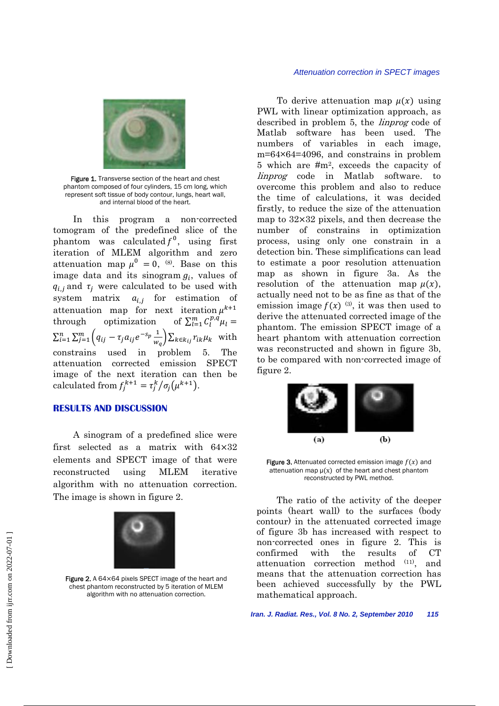

Figure 1. Transverse section of the heart and chest phantom composed of four cylinders, 15 cm long, which represent soft tissue of body contour, lungs, heart wall, and internal blood of the heart.

 In this program a non-corrected tomogram of the predefined slice of the phantom was calculated  $f^0$ , using first iteration of MLEM algorithm and zero attenuation map  $\mu^0 = 0$ , (8). Base on this image data and its sinogram  $g_i$ , values of  $q_{i,j}$  and  $\tau_j$  were calculated to be used with system matrix  $a_{i,i}$  for estimation of attenuation map for next iteration  $\mu^{k+1}$ through optimization  $\sum_{l=1}^{m} C_l^{p,q} \mu_l =$  $\sum_{i=1}^{n} \sum_{j=1}^{m} (q_{ij} - \tau_j a_{ij} e^{-s_p} \frac{1}{w})$  $\sum_{i=1}^{n} \sum_{j=1}^{m} \left( q_{ij} - \tau_j a_{ij} e^{-s_p} \frac{1}{w_q} \right) \sum_{k \in k_{ij}} r_{ik} \mu_k$  with constrains used in problem 5. attenuation corrected emission SPECT image of the next iteration can then be calculated from  $f_j^{k+1} = \frac{\tau_j^k}{\sigma_j(\mu^{k+1})}$ .

## **RESULTS AND DISCUSSION**

 A sinogram of a predefined slice were first selected as a matrix with  $64\times32$ elements and SPECT image of that were reconstructed using MLEM iterative algorithm with no attenuation correction. The image is shown in figure 2.



Figure 2. A 64×64 pixels SPECT image of the heart and chest phantom reconstructed by 5 iteration of MLEM algorithm with no attenuation correction.

To derive attenuation map  $\mu(x)$  using PWL with linear optimization approach, as described in problem 5, the linprog code of Matlab software has been used. The numbers of variables in each image, m=64×64=4096, and constrains in problem 5 which are #m2, exceeds the capacity of linprog code in Matlab software. to overcome this problem and also to reduce the time of calculations, it was decided firstly, to reduce the size of the attenuation map to  $32 \times 32$  pixels, and then decrease the number of constrains in optimization process, using only one constrain in a detection bin. These simplifications can lead to estimate a poor resolution attenuation map as shown in figure 3a. As the resolution of the attenuation map  $\mu(x)$ , actually need not to be as fine as that of the emission image  $f(x)$ <sup>(3)</sup>, it was then used to derive the attenuated corrected image of the phantom. The emission SPECT image of a heart phantom with attenuation correction was reconstructed and shown in figure 3b, to be compared with non-corrected image of figure 2.



Figure 3. Attenuated corrected emission image  $f(x)$  and attenuation map  $\mu(x)$  of the heart and chest phantom reconstructed by PWL method.

 The ratio of the activity of the deeper points (heart wall) to the surfaces (body contour) in the attenuated corrected image of figure 3b has increased with respect to non-corrected ones in figure 2. This is confirmed with the results of CT attenuation correction method (11), and means that the attenuation correction has been achieved successfully by the PWL mathematical approach.